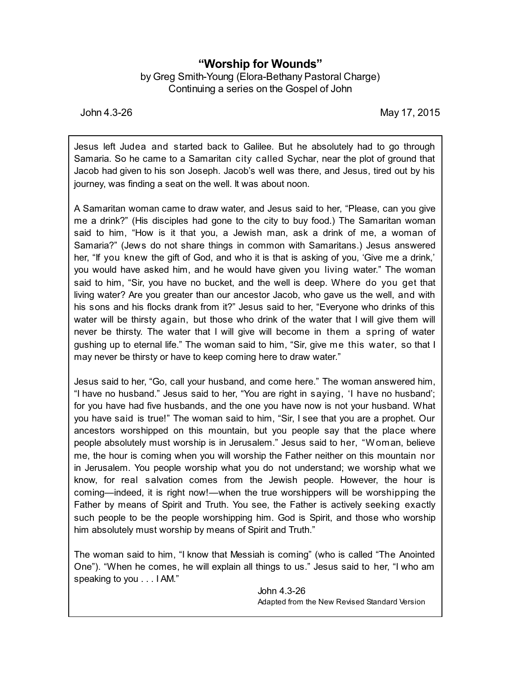## **"Worship for Wounds"**

by Greg Smith-Young (Elora-Bethany Pastoral Charge) Continuing a series on the Gospel of John

John 4.3-26 May 17, 2015

Jesus left Judea and started back to Galilee. But he absolutely had to go through Samaria. So he came to a Samaritan city called Sychar, near the plot of ground that Jacob had given to his son Joseph. Jacob's well was there, and Jesus, tired out by his journey, was finding a seat on the well. It was about noon.

A Samaritan woman came to draw water, and Jesus said to her, "Please, can you give me a drink?" (His disciples had gone to the city to buy food.) The Samaritan woman said to him, "How is it that you, a Jewish man, ask a drink of me, a woman of Samaria?" (Jews do not share things in common with Samaritans.) Jesus answered her, "If you knew the gift of God, and who it is that is asking of you, 'Give me a drink,' you would have asked him, and he would have given you living water." The woman said to him, "Sir, you have no bucket, and the well is deep. Where do you get that living water? Are you greater than our ancestor Jacob, who gave us the well, and with his sons and his flocks drank from it?" Jesus said to her, "Everyone who drinks of this water will be thirsty again, but those who drink of the water that I will give them will never be thirsty. The water that I will give will become in them a spring of water gushing up to eternal life." The woman said to him, "Sir, give me this water, so that I may never be thirsty or have to keep coming here to draw water."

Jesus said to her, "Go, call your husband, and come here." The woman answered him, "I have no husband." Jesus said to her, "You are right in saying, 'I have no husband'; for you have had five husbands, and the one you have now is not your husband. What you have said is true!" The woman said to him, "Sir, I see that you are a prophet. Our ancestors worshipped on this mountain, but you people say that the place where people absolutely must worship is in Jerusalem." Jesus said to her, "Woman, believe me, the hour is coming when you will worship the Father neither on this mountain nor in Jerusalem. You people worship what you do not understand; we worship what we know, for real salvation comes from the Jewish people. However, the hour is coming—indeed, it is right now!—when the true worshippers will be worshipping the Father by means of Spirit and Truth. You see, the Father is actively seeking exactly such people to be the people worshipping him. God is Spirit, and those who worship him absolutely must worship by means of Spirit and Truth."

The woman said to him, "I know that Messiah is coming" (who is called "The Anointed One"). "When he comes, he will explain all things to us." Jesus said to her, "I who am speaking to you . . . I AM."

> John 4.3-26 Adapted from the New Revised Standard Version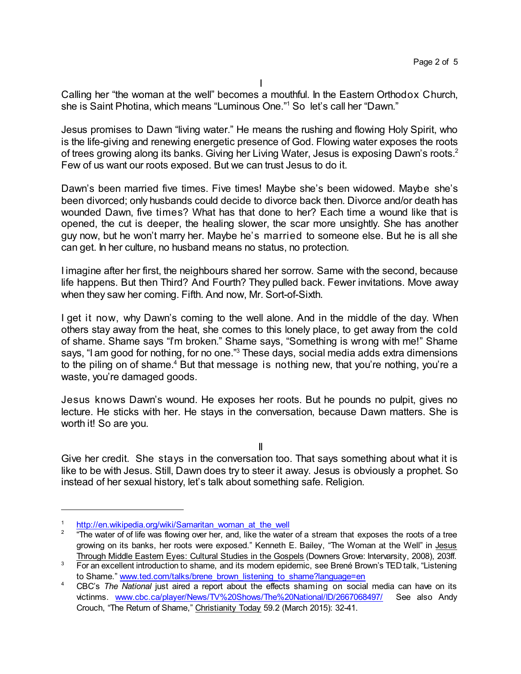I

Calling her "the woman at the well" becomes a mouthful. In the Eastern Orthodox Church, she is Saint Photina, which means "Luminous One." <sup>1</sup> So let's call her "Dawn."

Jesus promises to Dawn "living water." He means the rushing and flowing Holy Spirit, who is the life-giving and renewing energetic presence of God. Flowing water exposes the roots of trees growing along its banks. Giving her Living Water, Jesus is exposing Dawn's roots.<sup>2</sup> Few of us want our roots exposed. But we can trust Jesus to do it.

Dawn's been married five times. Five times! Maybe she's been widowed. Maybe she's been divorced; only husbands could decide to divorce back then. Divorce and/or death has wounded Dawn, five times? What has that done to her? Each time a wound like that is opened, the cut is deeper, the healing slower, the scar more unsightly. She has another guy now, but he won't marry her. Maybe he's married to someone else. But he is all she can get. In her culture, no husband means no status, no protection.

I imagine after her first, the neighbours shared her sorrow. Same with the second, because life happens. But then Third? And Fourth? They pulled back. Fewer invitations. Move away when they saw her coming. Fifth. And now, Mr. Sort-of-Sixth.

I get it now, why Dawn's coming to the well alone. And in the middle of the day. When others stay away from the heat, she comes to this lonely place, to get away from the cold of shame. Shame says "I'm broken." Shame says, "Something is wrong with me!" Shame says, "I am good for nothing, for no one." <sup>3</sup> These days, social media adds extra dimensions to the piling on of shame.<sup>4</sup> But that message is nothing new, that you're nothing, you're a waste, you're damaged goods.

Jesus knows Dawn's wound. He exposes her roots. But he pounds no pulpit, gives no lecture. He sticks with her. He stays in the conversation, because Dawn matters. She is worth it! So are you.

II

Give her credit. She stays in the conversation too. That says something about what it is like to be with Jesus. Still, Dawn does try to steer it away. Jesus is obviously a prophet. So instead of her sexual history, let's talk about something safe. Religion.

[http://en.wikipedia.org/wiki/Samaritan\\_woman\\_at\\_the\\_well](http://en.wikipedia.org/wiki/Samaritan_woman_at_the_well)

<sup>2</sup> "The water of of life was flowing over her, and, like the water of a stream that exposes the roots of a tree growing on its banks, her roots were exposed." Kenneth E. Bailey, "The Woman at the Well" in Jesus Through Middle Eastern Eyes: Cultural Studies in the Gospels (Downers Grove: Intervarsity, 2008), 203ff.

<sup>&</sup>lt;sup>3</sup> For an excellent introduction to shame, and its modern epidemic, see Brené Brown's TED talk, "Listening to Shame." [www.ted.com/talks/brene\\_brown\\_listening\\_to\\_shame?language=en](http://www.ted.com/talks/brene_brown_listening_to_shame?language=en)

<sup>4</sup> CBC's *The National* just aired a report about the effects shaming on social media can have on its victinms. [www.cbc.ca/player/News/TV%20Shows/The%20National/ID/2667068497/](http://www.cbc.ca/player/News/TV%20Shows/The%20National/ID/2667068497/) See also Andy Crouch, "The Return of Shame," Christianity Today 59.2 (March 2015): 32-41.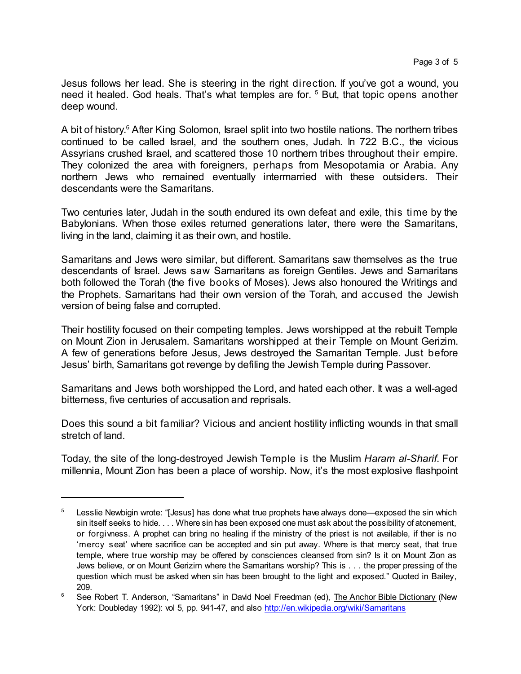Jesus follows her lead. She is steering in the right direction. If you've got a wound, you need it healed. God heals. That's what temples are for. <sup>5</sup> But, that topic opens another deep wound.

A bit of history.<sup>6</sup> After King Solomon, Israel split into two hostile nations. The northern tribes continued to be called Israel, and the southern ones, Judah. In 722 B.C., the vicious Assyrians crushed Israel, and scattered those 10 northern tribes throughout their empire. They colonized the area with foreigners, perhaps from Mesopotamia or Arabia. Any northern Jews who remained eventually intermarried with these outsiders. Their descendants were the Samaritans.

Two centuries later, Judah in the south endured its own defeat and exile, this time by the Babylonians. When those exiles returned generations later, there were the Samaritans, living in the land, claiming it as their own, and hostile.

Samaritans and Jews were similar, but different. Samaritans saw themselves as the true descendants of Israel. Jews saw Samaritans as foreign Gentiles. Jews and Samaritans both followed the Torah (the five books of Moses). Jews also honoured the Writings and the Prophets. Samaritans had their own version of the Torah, and accused the Jewish version of being false and corrupted.

Their hostility focused on their competing temples. Jews worshipped at the rebuilt Temple on Mount Zion in Jerusalem. Samaritans worshipped at their Temple on Mount Gerizim. A few of generations before Jesus, Jews destroyed the Samaritan Temple. Just before Jesus' birth, Samaritans got revenge by defiling the Jewish Temple during Passover.

Samaritans and Jews both worshipped the Lord, and hated each other. It was a well-aged bitterness, five centuries of accusation and reprisals.

Does this sound a bit familiar? Vicious and ancient hostility inflicting wounds in that small stretch of land.

Today, the site of the long-destroyed Jewish Temple is the Muslim *Haram al-Sharif*. For millennia, Mount Zion has been a place of worship. Now, it's the most explosive flashpoint

<sup>&</sup>lt;sup>5</sup> Lesslie Newbigin wrote: "[Jesus] has done what true prophets have always done—exposed the sin which sin itself seeks to hide. . . . Where sin has been exposed one must ask about the possibility of atonement, or forgivness. A prophet can bring no healing if the ministry of the priest is not available, if ther is no 'mercy seat' where sacrifice can be accepted and sin put away. Where is that mercy seat, that true temple, where true worship may be offered by consciences cleansed from sin? Is it on Mount Zion as Jews believe, or on Mount Gerizim where the Samaritans worship? This is . . . the proper pressing of the question which must be asked when sin has been brought to the light and exposed." Quoted in Bailey, 209.

<sup>&</sup>lt;sup>6</sup> See Robert T. Anderson, "Samaritans" in David Noel Freedman (ed), The Anchor Bible Dictionary (New York: Doubleday 1992): vol 5, pp. 941-47, and also <http://en.wikipedia.org/wiki/Samaritans>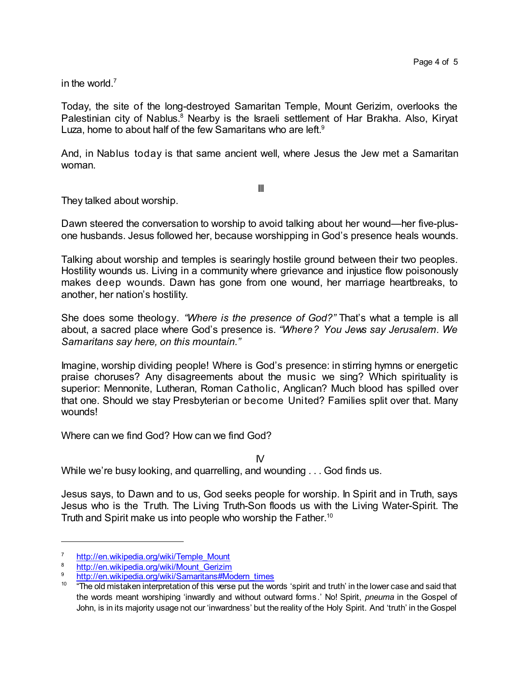in the world.<sup>7</sup>

Today, the site of the long-destroyed Samaritan Temple, Mount Gerizim, overlooks the Palestinian city of Nablus.<sup>8</sup> Nearby is the Israeli settlement of Har Brakha. Also, Kiryat Luza, home to about half of the few Samaritans who are left.<sup>9</sup>

And, in Nablus today is that same ancient well, where Jesus the Jew met a Samaritan woman.

III

They talked about worship.

Dawn steered the conversation to worship to avoid talking about her wound—her five-plusone husbands. Jesus followed her, because worshipping in God's presence heals wounds.

Talking about worship and temples is searingly hostile ground between their two peoples. Hostility wounds us. Living in a community where grievance and injustice flow poisonously makes deep wounds. Dawn has gone from one wound, her marriage heartbreaks, to another, her nation's hostility.

She does some theology. *"Where is the presence of God?"* That's what a temple is all about, a sacred place where God's presence is. *"Where? You Jews say Jerusalem. We Samaritans say here, on this mountain."*

Imagine, worship dividing people! Where is God's presence: in stirring hymns or energetic praise choruses? Any disagreements about the music we sing? Which spirituality is superior: Mennonite, Lutheran, Roman Catholic, Anglican? Much blood has spilled over that one. Should we stay Presbyterian or become United? Families split over that. Many wounds!

Where can we find God? How can we find God?

 $N$ 

While we're busy looking, and quarrelling, and wounding . . . God finds us.

Jesus says, to Dawn and to us, God seeks people for worship. In Spirit and in Truth, says Jesus who is the Truth. The Living Truth-Son floods us with the Living Water-Spirit. The Truth and Spirit make us into people who worship the Father.<sup>10</sup>

<sup>7</sup> [http://en.wikipedia.org/wiki/Temple\\_Mount](http://en.wikipedia.org/wiki/Temple_Mount)

[http://en.wikipedia.org/wiki/Mount\\_Gerizim](http://en.wikipedia.org/wiki/Mount_Gerizim)

[http://en.wikipedia.org/wiki/Samaritans#Modern\\_times](http://en.wikipedia.org/wiki/Samaritans#Modern_times)

 $10$   $\degree$  "The old mistaken interpretation of this verse put the words 'spirit and truth' in the lower case and said that the words meant worshiping 'inwardly and without outward forms.' No! Spirit, *pneuma* in the Gospel of John, is in its majority usage not our 'inwardness' but the reality of the Holy Spirit. And 'truth' in the Gospel